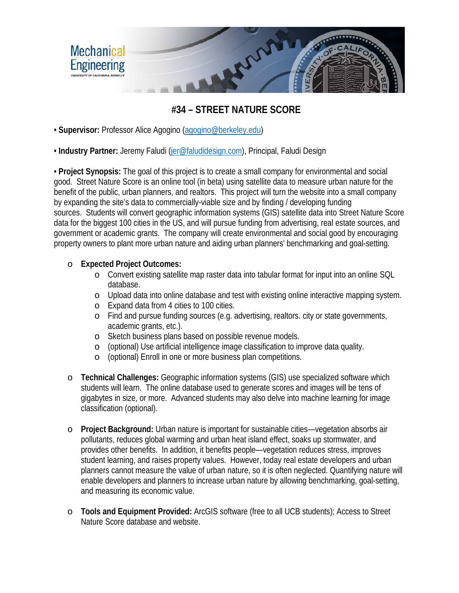

## **#34 – STREET NATURE SCORE**

• **Supervisor:** Professor Alice Agogino [\(agogino@berkeley.edu\)](mailto:agogino@berkeley.edu)

• **Industry Partner:** Jeremy Faludi [\(jer@faludidesign.com\)](mailto:jer@faludidesign.com), Principal, Faludi Design

• **Project Synopsis:** The goal of this project is to create a small company for environmental and social good. Street Nature Score is an online tool (in beta) using satellite data to measure urban nature for the benefit of the public, urban planners, and realtors. This project will turn the website into a small company by expanding the site's data to commercially-viable size and by finding / developing funding sources. Students will convert geographic information systems (GIS) satellite data into Street Nature Score data for the biggest 100 cities in the US, and will pursue funding from advertising, real estate sources, and government or academic grants. The company will create environmental and social good by encouraging property owners to plant more urban nature and aiding urban planners' benchmarking and goal-setting.

## o **Expected Project Outcomes:**

- o Convert existing satellite map raster data into tabular format for input into an online SQL database.
- o Upload data into online database and test with existing online interactive mapping system.
- o Expand data from 4 cities to 100 cities.
- o Find and pursue funding sources (e.g. advertising, realtors. city or state governments, academic grants, etc.).
- o Sketch business plans based on possible revenue models.
- o (optional) Use artificial intelligence image classification to improve data quality.
- o (optional) Enroll in one or more business plan competitions.
- o **Technical Challenges:** Geographic information systems (GIS) use specialized software which students will learn. The online database used to generate scores and images will be tens of gigabytes in size, or more. Advanced students may also delve into machine learning for image classification (optional).
- o **Project Background:** Urban nature is important for sustainable cities—vegetation absorbs air pollutants, reduces global warming and urban heat island effect, soaks up stormwater, and provides other benefits. In addition, it benefits people—vegetation reduces stress, improves student learning, and raises property values. However, today real estate developers and urban planners cannot measure the value of urban nature, so it is often neglected. Quantifying nature will enable developers and planners to increase urban nature by allowing benchmarking, goal-setting, and measuring its economic value.
- o **Tools and Equipment Provided:** ArcGIS software (free to all UCB students); Access to Street Nature Score database and website.